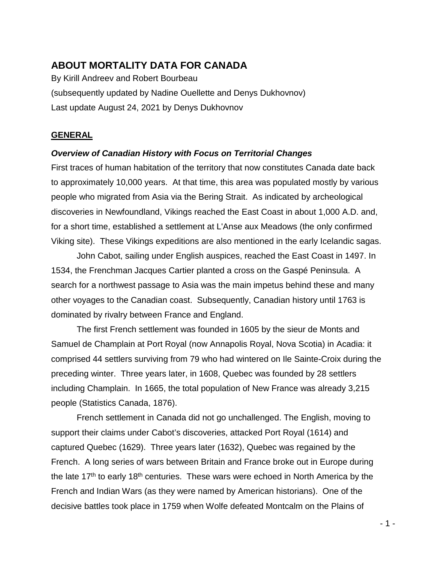# **ABOUT MORTALITY DATA FOR CANADA**

By Kirill Andreev and Robert Bourbeau (subsequently updated by Nadine Ouellette and Denys Dukhovnov) Last update August 24, 2021 by Denys Dukhovnov

## **GENERAL**

## *Overview of Canadian History with Focus on Territorial Changes*

First traces of human habitation of the territory that now constitutes Canada date back to approximately 10,000 years. At that time, this area was populated mostly by various people who migrated from Asia via the Bering Strait. As indicated by archeological discoveries in Newfoundland, Vikings reached the East Coast in about 1,000 A.D. and, for a short time, established a settlement at L'Anse aux Meadows (the only confirmed Viking site). These Vikings expeditions are also mentioned in the early Icelandic sagas.

John Cabot, sailing under English auspices, reached the East Coast in 1497. In 1534, the Frenchman Jacques Cartier planted a cross on the Gaspé Peninsula. A search for a northwest passage to Asia was the main impetus behind these and many other voyages to the Canadian coast. Subsequently, Canadian history until 1763 is dominated by rivalry between France and England.

The first French settlement was founded in 1605 by the sieur de Monts and Samuel de Champlain at Port Royal (now Annapolis Royal, Nova Scotia) in Acadia: it comprised 44 settlers surviving from 79 who had wintered on Ile Sainte-Croix during the preceding winter. Three years later, in 1608, Quebec was founded by 28 settlers including Champlain. In 1665, the total population of New France was already 3,215 people (Statistics Canada, 1876).

French settlement in Canada did not go unchallenged. The English, moving to support their claims under Cabot's discoveries, attacked Port Royal (1614) and captured Quebec (1629). Three years later (1632), Quebec was regained by the French. A long series of wars between Britain and France broke out in Europe during the late  $17<sup>th</sup>$  to early 18<sup>th</sup> centuries. These wars were echoed in North America by the French and Indian Wars (as they were named by American historians). One of the decisive battles took place in 1759 when Wolfe defeated Montcalm on the Plains of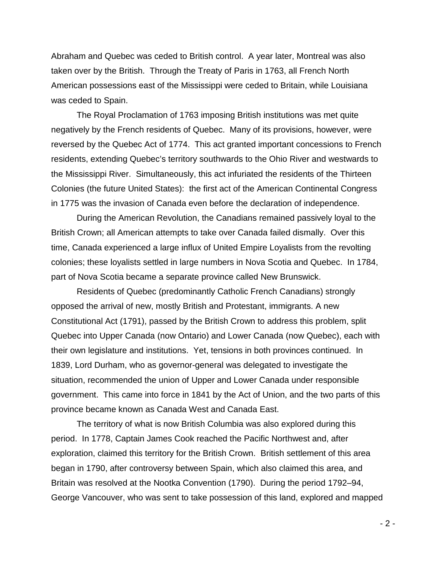Abraham and Quebec was ceded to British control. A year later, Montreal was also taken over by the British. Through the Treaty of Paris in 1763, all French North American possessions east of the Mississippi were ceded to Britain, while Louisiana was ceded to Spain.

The Royal Proclamation of 1763 imposing British institutions was met quite negatively by the French residents of Quebec. Many of its provisions, however, were reversed by the Quebec Act of 1774. This act granted important concessions to French residents, extending Quebec's territory southwards to the Ohio River and westwards to the Mississippi River. Simultaneously, this act infuriated the residents of the Thirteen Colonies (the future United States): the first act of the American Continental Congress in 1775 was the invasion of Canada even before the declaration of independence.

During the American Revolution, the Canadians remained passively loyal to the British Crown; all American attempts to take over Canada failed dismally. Over this time, Canada experienced a large influx of United Empire Loyalists from the revolting colonies; these loyalists settled in large numbers in Nova Scotia and Quebec. In 1784, part of Nova Scotia became a separate province called New Brunswick.

Residents of Quebec (predominantly Catholic French Canadians) strongly opposed the arrival of new, mostly British and Protestant, immigrants. A new Constitutional Act (1791), passed by the British Crown to address this problem, split Quebec into Upper Canada (now Ontario) and Lower Canada (now Quebec), each with their own legislature and institutions. Yet, tensions in both provinces continued. In 1839, Lord Durham, who as governor-general was delegated to investigate the situation, recommended the union of Upper and Lower Canada under responsible government. This came into force in 1841 by the Act of Union, and the two parts of this province became known as Canada West and Canada East.

The territory of what is now British Columbia was also explored during this period. In 1778, Captain James Cook reached the Pacific Northwest and, after exploration, claimed this territory for the British Crown. British settlement of this area began in 1790, after controversy between Spain, which also claimed this area, and Britain was resolved at the Nootka Convention (1790). During the period 1792–94, George Vancouver, who was sent to take possession of this land, explored and mapped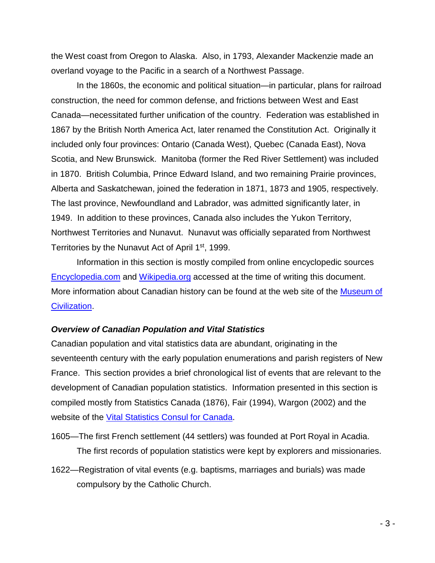the West coast from Oregon to Alaska. Also, in 1793, Alexander Mackenzie made an overland voyage to the Pacific in a search of a Northwest Passage.

In the 1860s, the economic and political situation—in particular, plans for railroad construction, the need for common defense, and frictions between West and East Canada—necessitated further unification of the country. Federation was established in 1867 by the British North America Act, later renamed the Constitution Act. Originally it included only four provinces: Ontario (Canada West), Quebec (Canada East), Nova Scotia, and New Brunswick. Manitoba (former the Red River Settlement) was included in 1870. British Columbia, Prince Edward Island, and two remaining Prairie provinces, Alberta and Saskatchewan, joined the federation in 1871, 1873 and 1905, respectively. The last province, Newfoundland and Labrador, was admitted significantly later, in 1949. In addition to these provinces, Canada also includes the Yukon Territory, Northwest Territories and Nunavut. Nunavut was officially separated from Northwest Territories by the Nunavut Act of April 1<sup>st</sup>, 1999.

Information in this section is mostly compiled from online encyclopedic sources [Encyclopedia.com](http://www.encyclopedia.com/) and [Wikipedia.org](http://wikipedia.org/) accessed at the time of writing this document. More information about Canadian history can be found at the web site of the [Museum of](http://www.civilization.ca/)  [Civilization.](http://www.civilization.ca/)

#### *Overview of Canadian Population and Vital Statistics*

Canadian population and vital statistics data are abundant, originating in the seventeenth century with the early population enumerations and parish registers of New France. This section provides a brief chronological list of events that are relevant to the development of Canadian population statistics. Information presented in this section is compiled mostly from Statistics Canada (1876), Fair (1994), Wargon (2002) and the website of the [Vital Statistics Consul for Canada.](http://www.vscouncil.ca/)

- 1605—The first French settlement (44 settlers) was founded at Port Royal in Acadia. The first records of population statistics were kept by explorers and missionaries.
- 1622—Registration of vital events (e.g. baptisms, marriages and burials) was made compulsory by the Catholic Church.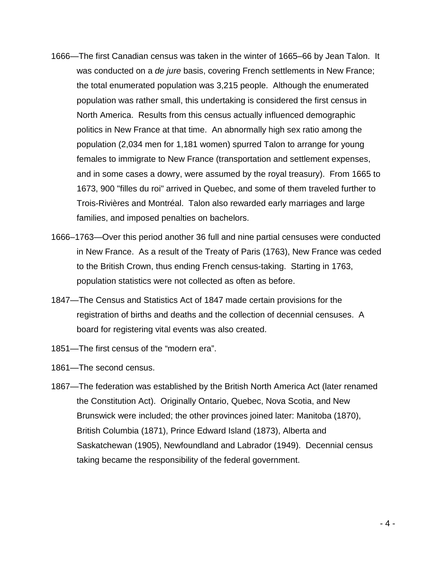- 1666—The first Canadian census was taken in the winter of 1665–66 by Jean Talon. It was conducted on a *de jure* basis, covering French settlements in New France; the total enumerated population was 3,215 people. Although the enumerated population was rather small, this undertaking is considered the first census in North America. Results from this census actually influenced demographic politics in New France at that time. An abnormally high sex ratio among the population (2,034 men for 1,181 women) spurred Talon to arrange for young females to immigrate to New France (transportation and settlement expenses, and in some cases a dowry, were assumed by the royal treasury). From 1665 to 1673, 900 "filles du roi" arrived in Quebec, and some of them traveled further to Trois-Rivières and Montréal. Talon also rewarded early marriages and large families, and imposed penalties on bachelors.
- 1666–1763—Over this period another 36 full and nine partial censuses were conducted in New France. As a result of the Treaty of Paris (1763), New France was ceded to the British Crown, thus ending French census-taking. Starting in 1763, population statistics were not collected as often as before.
- 1847—The Census and Statistics Act of 1847 made certain provisions for the registration of births and deaths and the collection of decennial censuses. A board for registering vital events was also created.
- 1851—The first census of the "modern era".
- 1861—The second census.
- 1867—The federation was established by the British North America Act (later renamed the Constitution Act). Originally Ontario, Quebec, Nova Scotia, and New Brunswick were included; the other provinces joined later: Manitoba (1870), British Columbia (1871), Prince Edward Island (1873), Alberta and Saskatchewan (1905), Newfoundland and Labrador (1949). Decennial census taking became the responsibility of the federal government.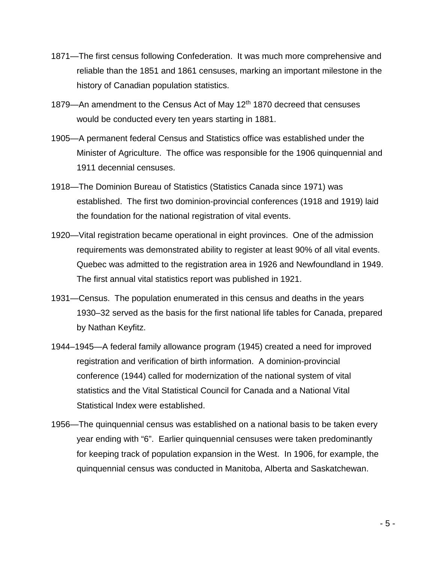- 1871—The first census following Confederation. It was much more comprehensive and reliable than the 1851 and 1861 censuses, marking an important milestone in the history of Canadian population statistics.
- 1879—An amendment to the Census Act of May 12<sup>th</sup> 1870 decreed that censuses would be conducted every ten years starting in 1881.
- 1905—A permanent federal Census and Statistics office was established under the Minister of Agriculture. The office was responsible for the 1906 quinquennial and 1911 decennial censuses.
- 1918—The Dominion Bureau of Statistics (Statistics Canada since 1971) was established. The first two dominion-provincial conferences (1918 and 1919) laid the foundation for the national registration of vital events.
- 1920—Vital registration became operational in eight provinces. One of the admission requirements was demonstrated ability to register at least 90% of all vital events. Quebec was admitted to the registration area in 1926 and Newfoundland in 1949. The first annual vital statistics report was published in 1921.
- 1931—Census. The population enumerated in this census and deaths in the years 1930–32 served as the basis for the first national life tables for Canada, prepared by Nathan Keyfitz.
- 1944–1945—A federal family allowance program (1945) created a need for improved registration and verification of birth information. A dominion-provincial conference (1944) called for modernization of the national system of vital statistics and the Vital Statistical Council for Canada and a National Vital Statistical Index were established.
- 1956—The quinquennial census was established on a national basis to be taken every year ending with "6". Earlier quinquennial censuses were taken predominantly for keeping track of population expansion in the West. In 1906, for example, the quinquennial census was conducted in Manitoba, Alberta and Saskatchewan.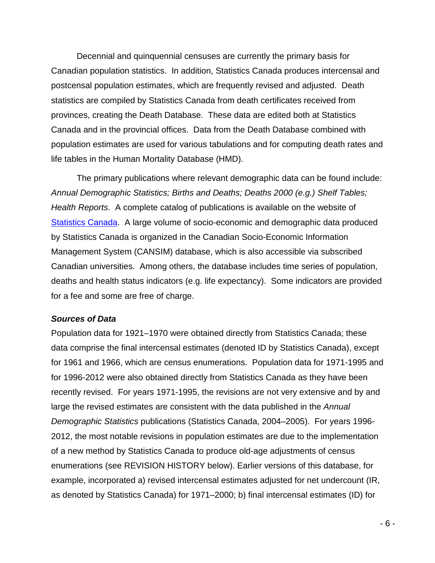Decennial and quinquennial censuses are currently the primary basis for Canadian population statistics. In addition, Statistics Canada produces intercensal and postcensal population estimates, which are frequently revised and adjusted. Death statistics are compiled by Statistics Canada from death certificates received from provinces, creating the Death Database. These data are edited both at Statistics Canada and in the provincial offices. Data from the Death Database combined with population estimates are used for various tabulations and for computing death rates and life tables in the Human Mortality Database (HMD).

The primary publications where relevant demographic data can be found include: *Annual Demographic Statistics; Births and Deaths; Deaths 2000 (e.g.) Shelf Tables; Health Reports*. A complete catalog of publications is available on the website of [Statistics](http://www.statcan.ca/) Canada. A large volume of socio-economic and demographic data produced by Statistics Canada is organized in the Canadian Socio-Economic Information Management System (CANSIM) database, which is also accessible via subscribed Canadian universities. Among others, the database includes time series of population, deaths and health status indicators (e.g. life expectancy). Some indicators are provided for a fee and some are free of charge.

#### *Sources of Data*

Population data for 1921–1970 were obtained directly from Statistics Canada; these data comprise the final intercensal estimates (denoted ID by Statistics Canada), except for 1961 and 1966, which are census enumerations. Population data for 1971-1995 and for 1996-2012 were also obtained directly from Statistics Canada as they have been recently revised. For years 1971-1995, the revisions are not very extensive and by and large the revised estimates are consistent with the data published in the *Annual Demographic Statistics* publications (Statistics Canada, 2004–2005). For years 1996- 2012, the most notable revisions in population estimates are due to the implementation of a new method by Statistics Canada to produce old-age adjustments of census enumerations (see REVISION HISTORY below). Earlier versions of this database, for example, incorporated a) revised intercensal estimates adjusted for net undercount (IR, as denoted by Statistics Canada) for 1971–2000; b) final intercensal estimates (ID) for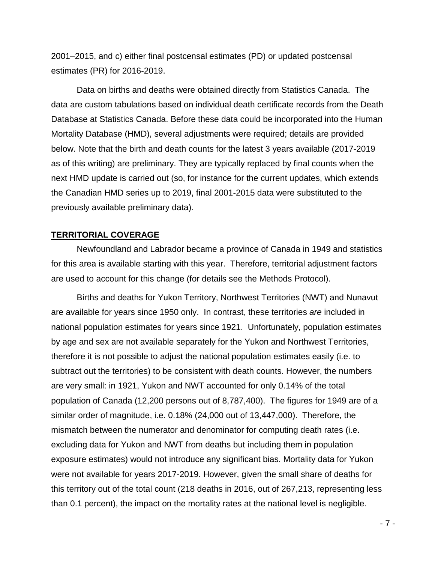2001–2015, and c) either final postcensal estimates (PD) or updated postcensal estimates (PR) for 2016-2019.

Data on births and deaths were obtained directly from Statistics Canada. The data are custom tabulations based on individual death certificate records from the Death Database at Statistics Canada. Before these data could be incorporated into the Human Mortality Database (HMD), several adjustments were required; details are provided below. Note that the birth and death counts for the latest 3 years available (2017-2019 as of this writing) are preliminary. They are typically replaced by final counts when the next HMD update is carried out (so, for instance for the current updates, which extends the Canadian HMD series up to 2019, final 2001-2015 data were substituted to the previously available preliminary data).

### **TERRITORIAL COVERAGE**

Newfoundland and Labrador became a province of Canada in 1949 and statistics for this area is available starting with this year. Therefore, territorial adjustment factors are used to account for this change (for details see the Methods Protocol).

Births and deaths for Yukon Territory, Northwest Territories (NWT) and Nunavut are available for years since 1950 only. In contrast, these territories *are* included in national population estimates for years since 1921. Unfortunately, population estimates by age and sex are not available separately for the Yukon and Northwest Territories, therefore it is not possible to adjust the national population estimates easily (i.e. to subtract out the territories) to be consistent with death counts. However, the numbers are very small: in 1921, Yukon and NWT accounted for only 0.14% of the total population of Canada (12,200 persons out of 8,787,400). The figures for 1949 are of a similar order of magnitude, i.e. 0.18% (24,000 out of 13,447,000). Therefore, the mismatch between the numerator and denominator for computing death rates (i.e. excluding data for Yukon and NWT from deaths but including them in population exposure estimates) would not introduce any significant bias. Mortality data for Yukon were not available for years 2017-2019. However, given the small share of deaths for this territory out of the total count (218 deaths in 2016, out of 267,213, representing less than 0.1 percent), the impact on the mortality rates at the national level is negligible.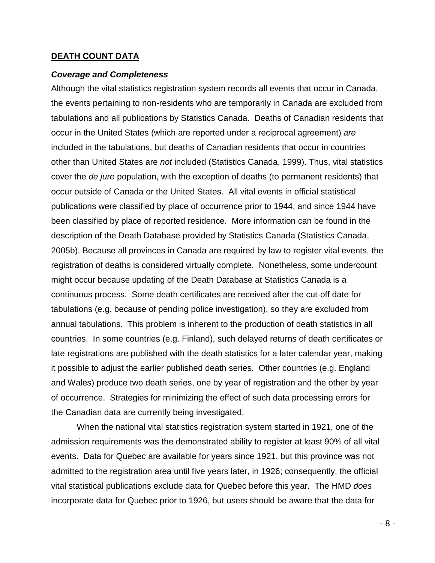### **DEATH COUNT DATA**

#### *Coverage and Completeness*

Although the vital statistics registration system records all events that occur in Canada, the events pertaining to non-residents who are temporarily in Canada are excluded from tabulations and all publications by Statistics Canada. Deaths of Canadian residents that occur in the United States (which are reported under a reciprocal agreement) *are* included in the tabulations, but deaths of Canadian residents that occur in countries other than United States are *not* included (Statistics Canada, 1999). Thus, vital statistics cover the *de jure* population, with the exception of deaths (to permanent residents) that occur outside of Canada or the United States. All vital events in official statistical publications were classified by place of occurrence prior to 1944, and since 1944 have been classified by place of reported residence. More information can be found in the description of the Death Database provided by Statistics Canada (Statistics Canada, 2005b). Because all provinces in Canada are required by law to register vital events, the registration of deaths is considered virtually complete. Nonetheless, some undercount might occur because updating of the Death Database at Statistics Canada is a continuous process. Some death certificates are received after the cut-off date for tabulations (e.g. because of pending police investigation), so they are excluded from annual tabulations. This problem is inherent to the production of death statistics in all countries. In some countries (e.g. Finland), such delayed returns of death certificates or late registrations are published with the death statistics for a later calendar year, making it possible to adjust the earlier published death series. Other countries (e.g. England and Wales) produce two death series, one by year of registration and the other by year of occurrence. Strategies for minimizing the effect of such data processing errors for the Canadian data are currently being investigated.

When the national vital statistics registration system started in 1921, one of the admission requirements was the demonstrated ability to register at least 90% of all vital events. Data for Quebec are available for years since 1921, but this province was not admitted to the registration area until five years later, in 1926; consequently, the official vital statistical publications exclude data for Quebec before this year. The HMD *does* incorporate data for Quebec prior to 1926, but users should be aware that the data for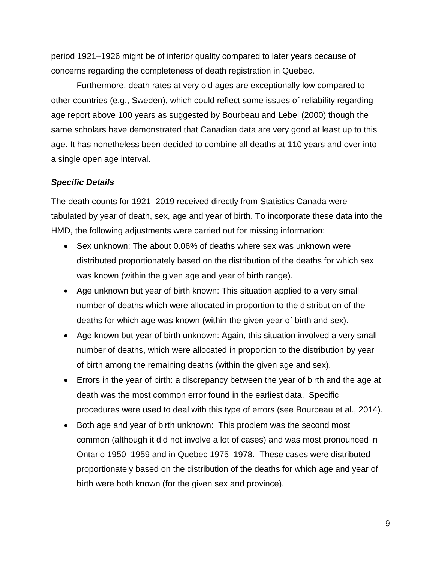period 1921–1926 might be of inferior quality compared to later years because of concerns regarding the completeness of death registration in Quebec.

Furthermore, death rates at very old ages are exceptionally low compared to other countries (e.g., Sweden), which could reflect some issues of reliability regarding age report above 100 years as suggested by Bourbeau and Lebel (2000) though the same scholars have demonstrated that Canadian data are very good at least up to this age. It has nonetheless been decided to combine all deaths at 110 years and over into a single open age interval.

## *Specific Details*

The death counts for 1921–2019 received directly from Statistics Canada were tabulated by year of death, sex, age and year of birth. To incorporate these data into the HMD, the following adjustments were carried out for missing information:

- Sex unknown: The about 0.06% of deaths where sex was unknown were distributed proportionately based on the distribution of the deaths for which sex was known (within the given age and year of birth range).
- Age unknown but year of birth known: This situation applied to a very small number of deaths which were allocated in proportion to the distribution of the deaths for which age was known (within the given year of birth and sex).
- Age known but year of birth unknown: Again, this situation involved a very small number of deaths, which were allocated in proportion to the distribution by year of birth among the remaining deaths (within the given age and sex).
- Errors in the year of birth: a discrepancy between the year of birth and the age at death was the most common error found in the earliest data. Specific procedures were used to deal with this type of errors (see Bourbeau et al., 2014).
- Both age and year of birth unknown: This problem was the second most common (although it did not involve a lot of cases) and was most pronounced in Ontario 1950–1959 and in Quebec 1975–1978. These cases were distributed proportionately based on the distribution of the deaths for which age and year of birth were both known (for the given sex and province).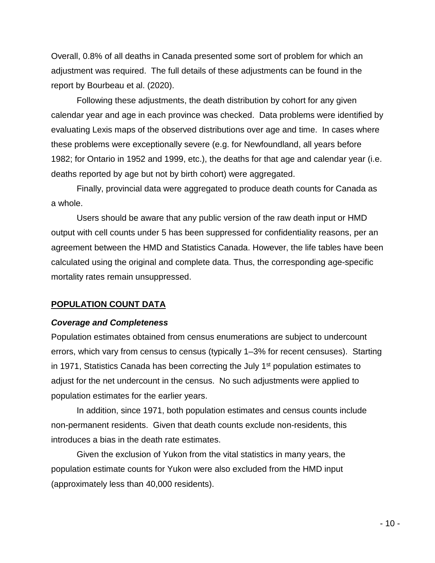Overall, 0.8% of all deaths in Canada presented some sort of problem for which an adjustment was required. The full details of these adjustments can be found in the report by Bourbeau et al. (2020).

Following these adjustments, the death distribution by cohort for any given calendar year and age in each province was checked. Data problems were identified by evaluating Lexis maps of the observed distributions over age and time. In cases where these problems were exceptionally severe (e.g. for Newfoundland, all years before 1982; for Ontario in 1952 and 1999, etc.), the deaths for that age and calendar year (i.e. deaths reported by age but not by birth cohort) were aggregated.

Finally, provincial data were aggregated to produce death counts for Canada as a whole.

Users should be aware that any public version of the raw death input or HMD output with cell counts under 5 has been suppressed for confidentiality reasons, per an agreement between the HMD and Statistics Canada. However, the life tables have been calculated using the original and complete data. Thus, the corresponding age-specific mortality rates remain unsuppressed.

#### **POPULATION COUNT DATA**

#### *Coverage and Completeness*

Population estimates obtained from census enumerations are subject to undercount errors, which vary from census to census (typically 1–3% for recent censuses). Starting in 1971, Statistics Canada has been correcting the July  $1<sup>st</sup>$  population estimates to adjust for the net undercount in the census. No such adjustments were applied to population estimates for the earlier years.

In addition, since 1971, both population estimates and census counts include non-permanent residents. Given that death counts exclude non-residents, this introduces a bias in the death rate estimates.

Given the exclusion of Yukon from the vital statistics in many years, the population estimate counts for Yukon were also excluded from the HMD input (approximately less than 40,000 residents).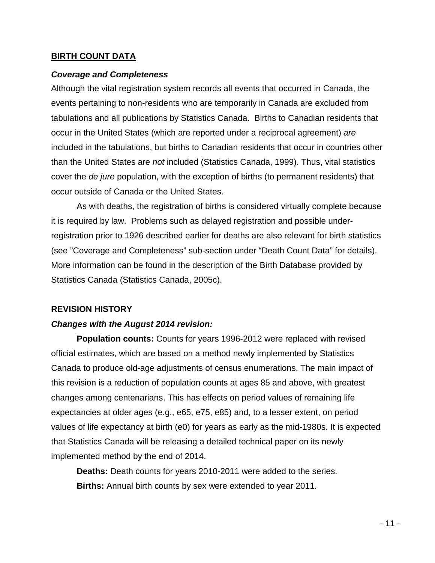### **BIRTH COUNT DATA**

### *Coverage and Completeness*

Although the vital registration system records all events that occurred in Canada, the events pertaining to non-residents who are temporarily in Canada are excluded from tabulations and all publications by Statistics Canada. Births to Canadian residents that occur in the United States (which are reported under a reciprocal agreement) *are* included in the tabulations, but births to Canadian residents that occur in countries other than the United States are *not* included (Statistics Canada, 1999). Thus, vital statistics cover the *de jure* population, with the exception of births (to permanent residents) that occur outside of Canada or the United States.

As with deaths, the registration of births is considered virtually complete because it is required by law. Problems such as delayed registration and possible underregistration prior to 1926 described earlier for deaths are also relevant for birth statistics (see "Coverage and Completeness" sub-section under "Death Count Data" for details). More information can be found in the description of the Birth Database provided by Statistics Canada (Statistics Canada, 2005c).

#### **REVISION HISTORY**

## *Changes with the August 2014 revision:*

**Population counts:** Counts for years 1996-2012 were replaced with revised official estimates, which are based on a method newly implemented by Statistics Canada to produce old-age adjustments of census enumerations. The main impact of this revision is a reduction of population counts at ages 85 and above, with greatest changes among centenarians. This has effects on period values of remaining life expectancies at older ages (e.g., e65, e75, e85) and, to a lesser extent, on period values of life expectancy at birth (e0) for years as early as the mid-1980s. It is expected that Statistics Canada will be releasing a detailed technical paper on its newly implemented method by the end of 2014.

**Deaths:** Death counts for years 2010-2011 were added to the series. **Births:** Annual birth counts by sex were extended to year 2011.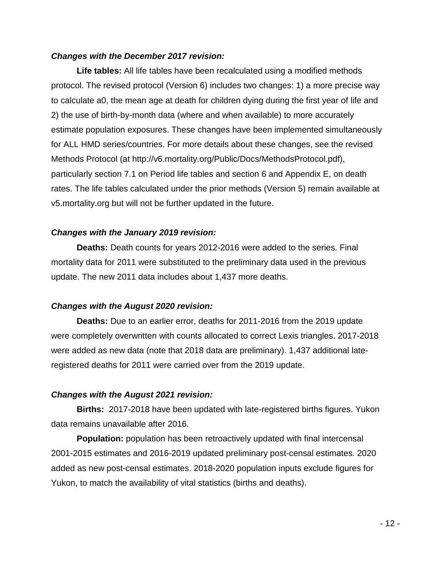## *Changes with the December 2017 revision:*

**Life tables:** All life tables have been recalculated using a modified methods protocol. The revised protocol (Version 6) includes two changes: 1) a more precise way to calculate a0, the mean age at death for children dying during the first year of life and 2) the use of birth-by-month data (where and when available) to more accurately estimate population exposures. These changes have been implemented simultaneously for ALL HMD series/countries. For more details about these changes, see the revised Methods Protocol (at http://v6.mortality.org/Public/Docs/MethodsProtocol.pdf), particularly section 7.1 on Period life tables and section 6 and Appendix E, on death rates. The life tables calculated under the prior methods (Version 5) remain available at v5.mortality.org but will not be further updated in the future.

## *Changes with the January 2019 revision:*

**Deaths:** Death counts for years 2012-2016 were added to the series. Final mortality data for 2011 were substituted to the preliminary data used in the previous update. The new 2011 data includes about 1,437 more deaths.

# *Changes with the August 2020 revision:*

**Deaths:** Due to an earlier error, deaths for 2011-2016 from the 2019 update were completely overwritten with counts allocated to correct Lexis triangles. 2017-2018 were added as new data (note that 2018 data are preliminary). 1,437 additional lateregistered deaths for 2011 were carried over from the 2019 update.

# *Changes with the August 2021 revision:*

**Births:** 2017-2018 have been updated with late-registered births figures. Yukon data remains unavailable after 2016.

**Population:** population has been retroactively updated with final intercensal 2001-2015 estimates and 2016-2019 updated preliminary post-censal estimates. 2020 added as new post-censal estimates. 2018-2020 population inputs exclude figures for Yukon, to match the availability of vital statistics (births and deaths).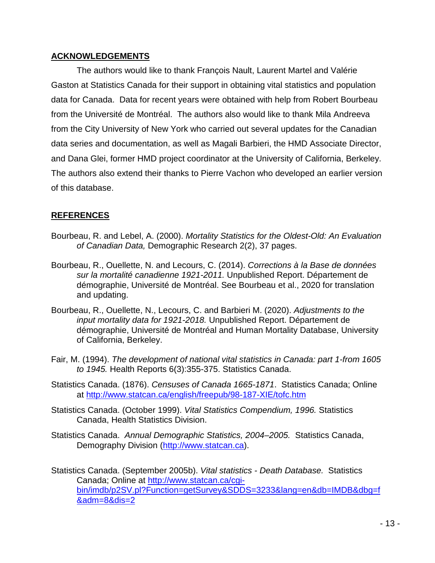## **ACKNOWLEDGEMENTS**

The authors would like to thank François Nault, Laurent Martel and Valérie Gaston at Statistics Canada for their support in obtaining vital statistics and population data for Canada. Data for recent years were obtained with help from Robert Bourbeau from the Université de Montréal. The authors also would like to thank Mila Andreeva from the City University of New York who carried out several updates for the Canadian data series and documentation, as well as Magali Barbieri, the HMD Associate Director, and Dana Glei, former HMD project coordinator at the University of California, Berkeley. The authors also extend their thanks to Pierre Vachon who developed an earlier version of this database.

# **REFERENCES**

- Bourbeau, R. and Lebel, A. (2000). *Mortality Statistics for the Oldest-Old: An Evaluation of Canadian Data,* Demographic Research 2(2), 37 pages.
- Bourbeau, R., Ouellette, N. and Lecours, C. (2014). *Corrections à la Base de données sur la mortalité canadienne 1921-2011.* Unpublished Report. Département de démographie, Université de Montréal. See Bourbeau et al., 2020 for translation and updating.
- Bourbeau, R., Ouellette, N., Lecours, C. and Barbieri M. (2020). *Adjustments to the input mortality data for 1921-2018.* Unpublished Report. Département de démographie, Université de Montréal and Human Mortality Database, University of California, Berkeley.
- Fair, M. (1994). *The development of national vital statistics in Canada: part 1-from 1605 to 1945.* Health Reports 6(3):355-375. Statistics Canada.
- Statistics Canada. (1876). *Censuses of Canada 1665-1871*. Statistics Canada; Online at<http://www.statcan.ca/english/freepub/98-187-XIE/tofc.htm>
- Statistics Canada. (October 1999). *Vital Statistics Compendium, 1996.* Statistics Canada, Health Statistics Division.
- Statistics Canada. *Annual Demographic Statistics, 2004–2005.* Statistics Canada, Demography Division [\(http://www.statcan.ca\)](http://www.statcan.ca/).
- Statistics Canada. (September 2005b). *Vital statistics - Death Database.* Statistics Canada; Online at [http://www.statcan.ca/cgi](http://www.statcan.ca/cgi-bin/imdb/p2SV.pl?Function=getSurvey&SDDS=3233&lang=en&db=IMDB&dbg=f&adm=8&dis=2)[bin/imdb/p2SV.pl?Function=getSurvey&SDDS=3233&lang=en&db=IMDB&dbg=f](http://www.statcan.ca/cgi-bin/imdb/p2SV.pl?Function=getSurvey&SDDS=3233&lang=en&db=IMDB&dbg=f&adm=8&dis=2) [&adm=8&dis=2](http://www.statcan.ca/cgi-bin/imdb/p2SV.pl?Function=getSurvey&SDDS=3233&lang=en&db=IMDB&dbg=f&adm=8&dis=2)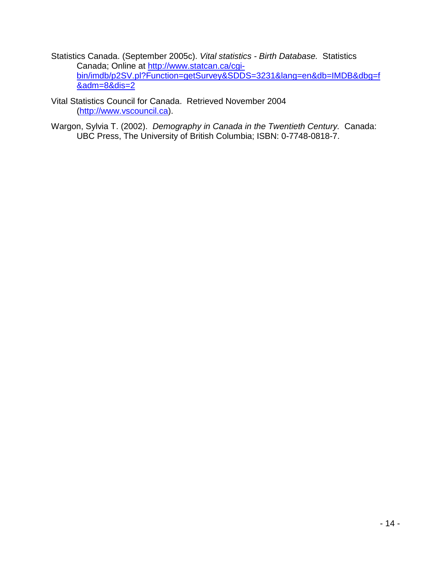Statistics Canada. (September 2005c). *Vital statistics - Birth Database.* Statistics Canada; Online at <u>http://www.statcan.ca/cgi-</u> [bin/imdb/p2SV.pl?Function=getSurvey&SDDS=3231&lang=en&db=IMDB&dbg=f](http://www.statcan.ca/cgi-bin/imdb/p2SV.pl?Function=getSurvey&SDDS=3231&lang=en&db=IMDB&dbg=f&adm=8&dis=2) [&adm=8&dis=2](http://www.statcan.ca/cgi-bin/imdb/p2SV.pl?Function=getSurvey&SDDS=3231&lang=en&db=IMDB&dbg=f&adm=8&dis=2)

Vital Statistics Council for Canada. Retrieved November 2004 [\(http://www.vscouncil.ca\)](http://www.vscouncil.ca/).

Wargon, Sylvia T. (2002). *Demography in Canada in the Twentieth Century.* Canada: UBC Press, The University of British Columbia; ISBN: 0-7748-0818-7.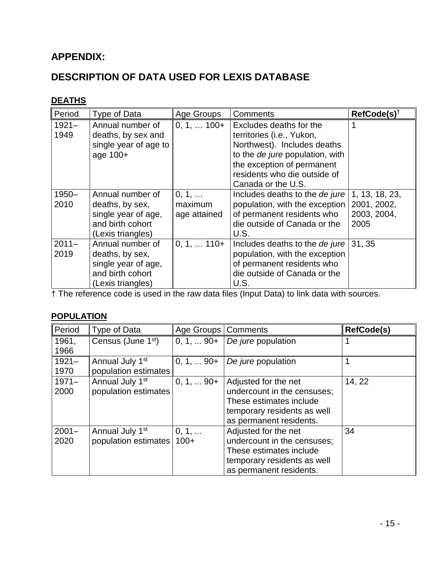# **APPENDIX:**

# **DESCRIPTION OF DATA USED FOR LEXIS DATABASE**

# **DEATHS**

| Period           | Type of Data                                                                                        | Age Groups                       | <b>Comments</b>                                                                                                                                                                                            | RefCode(s) <sup>t</sup>                              |
|------------------|-----------------------------------------------------------------------------------------------------|----------------------------------|------------------------------------------------------------------------------------------------------------------------------------------------------------------------------------------------------------|------------------------------------------------------|
| $1921 -$<br>1949 | Annual number of<br>deaths, by sex and<br>single year of age to<br>age 100+                         | $0, 1, \ldots 100+$              | Excludes deaths for the<br>territories (i.e., Yukon,<br>Northwest). Includes deaths<br>to the de jure population, with<br>the exception of permanent<br>residents who die outside of<br>Canada or the U.S. |                                                      |
| $1950 -$<br>2010 | Annual number of<br>deaths, by sex,<br>single year of age,<br>and birth cohort<br>(Lexis triangles) | 0, 1,<br>maximum<br>age attained | Includes deaths to the de jure<br>population, with the exception<br>of permanent residents who<br>die outside of Canada or the<br>U.S.                                                                     | 1, 13, 18, 23,<br>2001, 2002,<br>2003, 2004,<br>2005 |
| $2011 -$<br>2019 | Annual number of<br>deaths, by sex,<br>single year of age,<br>and birth cohort<br>(Lexis triangles) | $0, 1, \ldots 110+$              | Includes deaths to the de jure<br>population, with the exception<br>of permanent residents who<br>die outside of Canada or the<br>U.S.                                                                     | 31, 35                                               |

† The reference code is used in the raw data files (Input Data) to link data with sources.

# **POPULATION**

| Period   | Type of Data                   | Age Groups   Comments |                             | <b>RefCode(s)</b> |
|----------|--------------------------------|-----------------------|-----------------------------|-------------------|
| 1961,    | Census (June 1 <sup>st</sup> ) | $0, 1, $ 90+          | De jure population          |                   |
| 1966     |                                |                       |                             |                   |
| $1921 -$ | Annual July 1 <sup>st</sup>    | $0, 1,  90+$          | De jure population          |                   |
| 1970     | population estimates           |                       |                             |                   |
| $1971 -$ | Annual July 1 <sup>st</sup>    | $0, 1,  90+$          | Adjusted for the net        | 14, 22            |
| 2000     | population estimates           |                       | undercount in the censuses; |                   |
|          |                                |                       | These estimates include     |                   |
|          |                                |                       | temporary residents as well |                   |
|          |                                |                       | as permanent residents.     |                   |
| $2001 -$ | Annual July 1 <sup>st</sup>    | 0, 1,                 | Adjusted for the net        | 34                |
| 2020     | population estimates           | $100+$                | undercount in the censuses; |                   |
|          |                                |                       | These estimates include     |                   |
|          |                                |                       | temporary residents as well |                   |
|          |                                |                       | as permanent residents.     |                   |